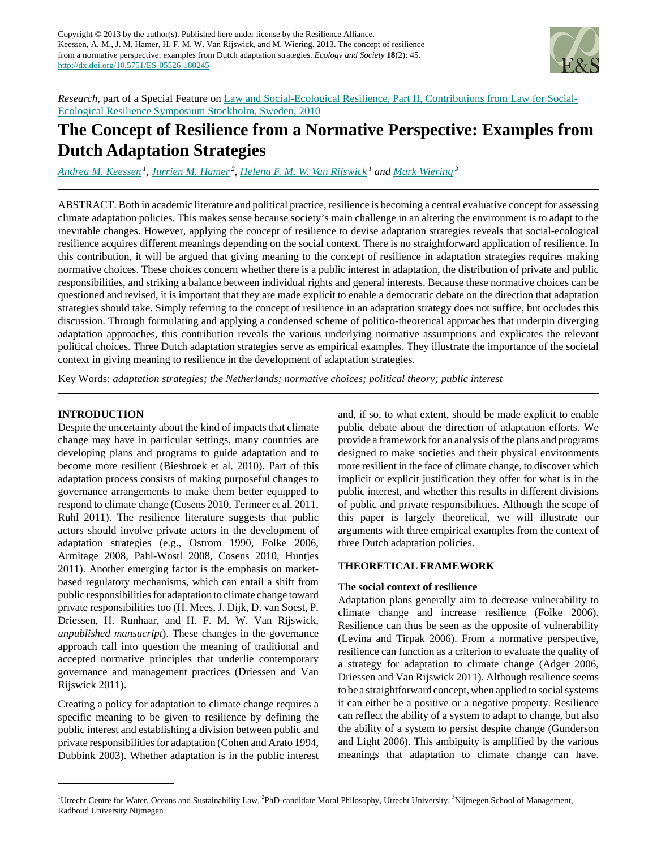

*Research*, part of a Special Feature on [Law and Social-Ecological Resilience, Part II, Contributions from Law for Social-](http://www.ecologyandsociety.org/viewissue.php?sf=98)[Ecological Resilience Symposium Stockholm, Sweden, 2010](http://www.ecologyandsociety.org/viewissue.php?sf=98)

# **The Concept of Resilience from a Normative Perspective: Examples from Dutch Adaptation Strategies**

*[Andrea M. Keessen](mailto:a.m.keessen@uu.nl)<sup>1</sup>* , *[Jurrien M. Hamer](mailto:j.m.hamer@students.uu.nl)<sup>2</sup>* , *[Helena F. M. W. Van Rijswick](mailto:H.vanRijswick@uu.nl)<sup>1</sup> and [Mark Wiering](mailto:m.wiering@fm.ru.nl)<sup>3</sup>*

ABSTRACT. Both in academic literature and political practice, resilience is becoming a central evaluative concept for assessing climate adaptation policies. This makes sense because society's main challenge in an altering the environment is to adapt to the inevitable changes. However, applying the concept of resilience to devise adaptation strategies reveals that social-ecological resilience acquires different meanings depending on the social context. There is no straightforward application of resilience. In this contribution, it will be argued that giving meaning to the concept of resilience in adaptation strategies requires making normative choices. These choices concern whether there is a public interest in adaptation, the distribution of private and public responsibilities, and striking a balance between individual rights and general interests. Because these normative choices can be questioned and revised, it is important that they are made explicit to enable a democratic debate on the direction that adaptation strategies should take. Simply referring to the concept of resilience in an adaptation strategy does not suffice, but occludes this discussion. Through formulating and applying a condensed scheme of politico-theoretical approaches that underpin diverging adaptation approaches, this contribution reveals the various underlying normative assumptions and explicates the relevant political choices. Three Dutch adaptation strategies serve as empirical examples. They illustrate the importance of the societal context in giving meaning to resilience in the development of adaptation strategies.

Key Words: *adaptation strategies; the Netherlands; normative choices; political theory; public interest*

# **INTRODUCTION**

Despite the uncertainty about the kind of impacts that climate change may have in particular settings, many countries are developing plans and programs to guide adaptation and to become more resilient (Biesbroek et al. 2010). Part of this adaptation process consists of making purposeful changes to governance arrangements to make them better equipped to respond to climate change (Cosens 2010, Termeer et al. 2011, Ruhl 2011). The resilience literature suggests that public actors should involve private actors in the development of adaptation strategies (e.g., Ostrom 1990, Folke 2006, Armitage 2008, Pahl-Wostl 2008, Cosens 2010, Huntjes 2011). Another emerging factor is the emphasis on marketbased regulatory mechanisms, which can entail a shift from public responsibilities for adaptation to climate change toward private responsibilities too (H. Mees, J. Dijk, D. van Soest, P. Driessen, H. Runhaar, and H. F. M. W. Van Rijswick, *unpublished mansucript*). These changes in the governance approach call into question the meaning of traditional and accepted normative principles that underlie contemporary governance and management practices (Driessen and Van Rijswick 2011).

Creating a policy for adaptation to climate change requires a specific meaning to be given to resilience by defining the public interest and establishing a division between public and private responsibilities for adaptation (Cohen and Arato 1994, Dubbink 2003). Whether adaptation is in the public interest and, if so, to what extent, should be made explicit to enable public debate about the direction of adaptation efforts. We provide a framework for an analysis of the plans and programs designed to make societies and their physical environments more resilient in the face of climate change, to discover which implicit or explicit justification they offer for what is in the public interest, and whether this results in different divisions of public and private responsibilities. Although the scope of this paper is largely theoretical, we will illustrate our arguments with three empirical examples from the context of three Dutch adaptation policies.

# **THEORETICAL FRAMEWORK**

# **The social context of resilience**

Adaptation plans generally aim to decrease vulnerability to climate change and increase resilience (Folke 2006). Resilience can thus be seen as the opposite of vulnerability (Levina and Tirpak 2006). From a normative perspective, resilience can function as a criterion to evaluate the quality of a strategy for adaptation to climate change (Adger 2006, Driessen and Van Rijswick 2011). Although resilience seems to be a straightforward concept, when applied to social systems it can either be a positive or a negative property. Resilience can reflect the ability of a system to adapt to change, but also the ability of a system to persist despite change (Gunderson and Light 2006). This ambiguity is amplified by the various meanings that adaptation to climate change can have.

<sup>&</sup>lt;sup>1</sup>Utrecht Centre for Water, Oceans and Sustainability Law, <sup>2</sup>PhD-candidate Moral Philosophy, Utrecht University, <sup>3</sup>Nijmegen School of Management, Radboud University Nijmegen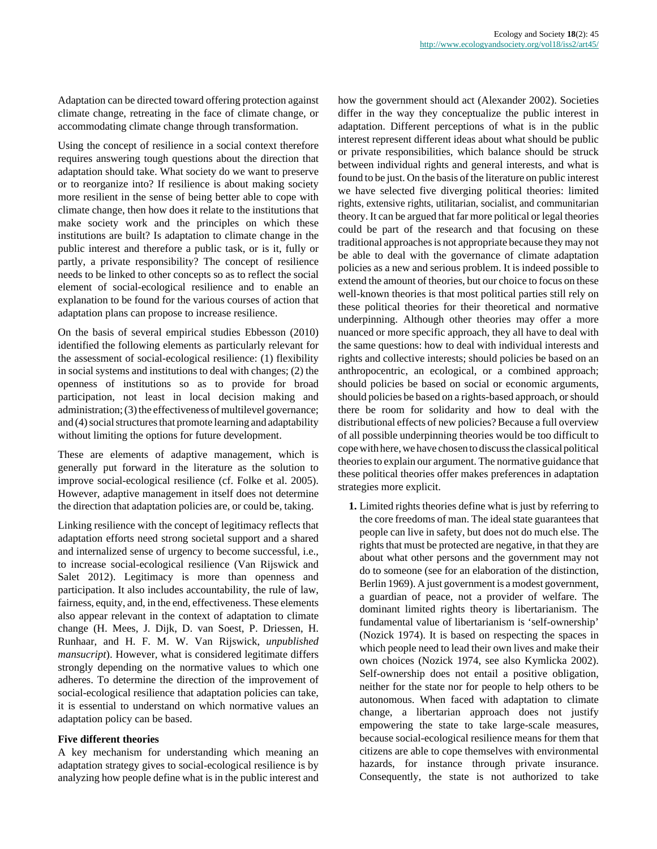Adaptation can be directed toward offering protection against climate change, retreating in the face of climate change, or accommodating climate change through transformation.

Using the concept of resilience in a social context therefore requires answering tough questions about the direction that adaptation should take. What society do we want to preserve or to reorganize into? If resilience is about making society more resilient in the sense of being better able to cope with climate change, then how does it relate to the institutions that make society work and the principles on which these institutions are built? Is adaptation to climate change in the public interest and therefore a public task, or is it, fully or partly, a private responsibility? The concept of resilience needs to be linked to other concepts so as to reflect the social element of social-ecological resilience and to enable an explanation to be found for the various courses of action that adaptation plans can propose to increase resilience.

On the basis of several empirical studies Ebbesson (2010) identified the following elements as particularly relevant for the assessment of social-ecological resilience: (1) flexibility in social systems and institutions to deal with changes; (2) the openness of institutions so as to provide for broad participation, not least in local decision making and administration; (3) the effectiveness of multilevel governance; and (4) social structures that promote learning and adaptability without limiting the options for future development.

These are elements of adaptive management, which is generally put forward in the literature as the solution to improve social-ecological resilience (cf. Folke et al. 2005). However, adaptive management in itself does not determine the direction that adaptation policies are, or could be, taking.

Linking resilience with the concept of legitimacy reflects that adaptation efforts need strong societal support and a shared and internalized sense of urgency to become successful, i.e., to increase social-ecological resilience (Van Rijswick and Salet 2012). Legitimacy is more than openness and participation. It also includes accountability, the rule of law, fairness, equity, and, in the end, effectiveness. These elements also appear relevant in the context of adaptation to climate change (H. Mees, J. Dijk, D. van Soest, P. Driessen, H. Runhaar, and H. F. M. W. Van Rijswick, *unpublished mansucript*). However, what is considered legitimate differs strongly depending on the normative values to which one adheres. To determine the direction of the improvement of social-ecological resilience that adaptation policies can take, it is essential to understand on which normative values an adaptation policy can be based.

# **Five different theories**

A key mechanism for understanding which meaning an adaptation strategy gives to social-ecological resilience is by analyzing how people define what is in the public interest and how the government should act (Alexander 2002). Societies differ in the way they conceptualize the public interest in adaptation. Different perceptions of what is in the public interest represent different ideas about what should be public or private responsibilities, which balance should be struck between individual rights and general interests, and what is found to be just. On the basis of the literature on public interest we have selected five diverging political theories: limited rights, extensive rights, utilitarian, socialist, and communitarian theory. It can be argued that far more political or legal theories could be part of the research and that focusing on these traditional approaches is not appropriate because they may not be able to deal with the governance of climate adaptation policies as a new and serious problem. It is indeed possible to extend the amount of theories, but our choice to focus on these well-known theories is that most political parties still rely on these political theories for their theoretical and normative underpinning. Although other theories may offer a more nuanced or more specific approach, they all have to deal with the same questions: how to deal with individual interests and rights and collective interests; should policies be based on an anthropocentric, an ecological, or a combined approach; should policies be based on social or economic arguments, should policies be based on a rights-based approach, or should there be room for solidarity and how to deal with the distributional effects of new policies? Because a full overview of all possible underpinning theories would be too difficult to cope with here, we have chosen to discuss the classical political theories to explain our argument. The normative guidance that these political theories offer makes preferences in adaptation strategies more explicit.

**1.** Limited rights theories define what is just by referring to the core freedoms of man. The ideal state guarantees that people can live in safety, but does not do much else. The rights that must be protected are negative, in that they are about what other persons and the government may not do to someone (see for an elaboration of the distinction, Berlin 1969). A just government is a modest government, a guardian of peace, not a provider of welfare. The dominant limited rights theory is libertarianism. The fundamental value of libertarianism is 'self-ownership' (Nozick 1974). It is based on respecting the spaces in which people need to lead their own lives and make their own choices (Nozick 1974, see also Kymlicka 2002). Self-ownership does not entail a positive obligation, neither for the state nor for people to help others to be autonomous. When faced with adaptation to climate change, a libertarian approach does not justify empowering the state to take large-scale measures, because social-ecological resilience means for them that citizens are able to cope themselves with environmental hazards, for instance through private insurance. Consequently, the state is not authorized to take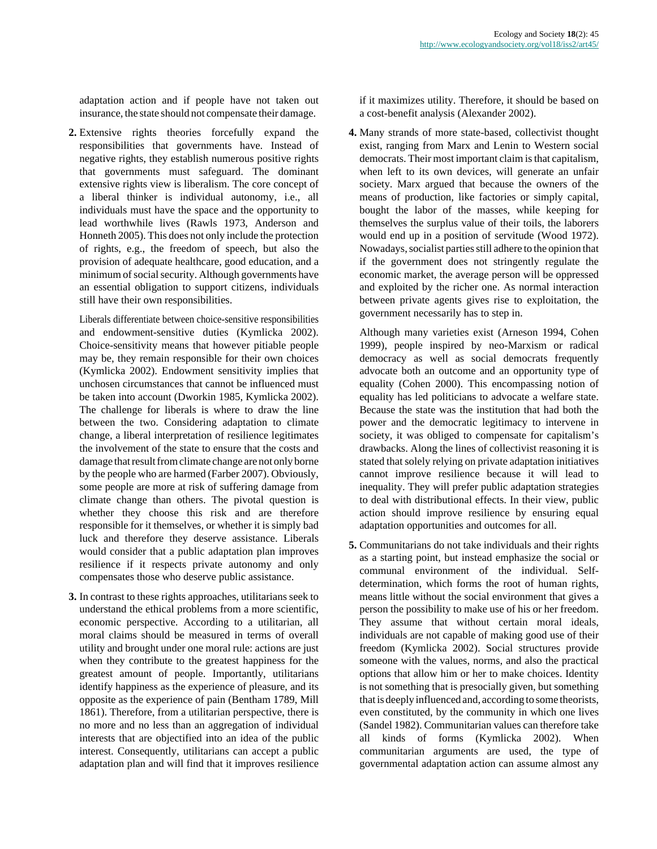adaptation action and if people have not taken out insurance, the state should not compensate their damage.

**2.** Extensive rights theories forcefully expand the responsibilities that governments have. Instead of negative rights, they establish numerous positive rights that governments must safeguard. The dominant extensive rights view is liberalism. The core concept of a liberal thinker is individual autonomy, i.e., all individuals must have the space and the opportunity to lead worthwhile lives (Rawls 1973, Anderson and Honneth 2005). This does not only include the protection of rights, e.g., the freedom of speech, but also the provision of adequate healthcare, good education, and a minimum of social security. Although governments have an essential obligation to support citizens, individuals still have their own responsibilities.

Liberals differentiate between choice-sensitive responsibilities and endowment-sensitive duties (Kymlicka 2002). Choice-sensitivity means that however pitiable people may be, they remain responsible for their own choices (Kymlicka 2002). Endowment sensitivity implies that unchosen circumstances that cannot be influenced must be taken into account (Dworkin 1985, Kymlicka 2002). The challenge for liberals is where to draw the line between the two. Considering adaptation to climate change, a liberal interpretation of resilience legitimates the involvement of the state to ensure that the costs and damage that result from climate change are not only borne by the people who are harmed (Farber 2007). Obviously, some people are more at risk of suffering damage from climate change than others. The pivotal question is whether they choose this risk and are therefore responsible for it themselves, or whether it is simply bad luck and therefore they deserve assistance. Liberals would consider that a public adaptation plan improves resilience if it respects private autonomy and only compensates those who deserve public assistance.

**3.** In contrast to these rights approaches, utilitarians seek to understand the ethical problems from a more scientific, economic perspective. According to a utilitarian, all moral claims should be measured in terms of overall utility and brought under one moral rule: actions are just when they contribute to the greatest happiness for the greatest amount of people. Importantly, utilitarians identify happiness as the experience of pleasure, and its opposite as the experience of pain (Bentham 1789, Mill 1861). Therefore, from a utilitarian perspective, there is no more and no less than an aggregation of individual interests that are objectified into an idea of the public interest. Consequently, utilitarians can accept a public adaptation plan and will find that it improves resilience

if it maximizes utility. Therefore, it should be based on a cost-benefit analysis (Alexander 2002).

**4.** Many strands of more state-based, collectivist thought exist, ranging from Marx and Lenin to Western social democrats. Their most important claim is that capitalism, when left to its own devices, will generate an unfair society. Marx argued that because the owners of the means of production, like factories or simply capital, bought the labor of the masses, while keeping for themselves the surplus value of their toils, the laborers would end up in a position of servitude (Wood 1972). Nowadays, socialist parties still adhere to the opinion that if the government does not stringently regulate the economic market, the average person will be oppressed and exploited by the richer one. As normal interaction between private agents gives rise to exploitation, the government necessarily has to step in.

Although many varieties exist (Arneson 1994, Cohen 1999), people inspired by neo-Marxism or radical democracy as well as social democrats frequently advocate both an outcome and an opportunity type of equality (Cohen 2000). This encompassing notion of equality has led politicians to advocate a welfare state. Because the state was the institution that had both the power and the democratic legitimacy to intervene in society, it was obliged to compensate for capitalism's drawbacks. Along the lines of collectivist reasoning it is stated that solely relying on private adaptation initiatives cannot improve resilience because it will lead to inequality. They will prefer public adaptation strategies to deal with distributional effects. In their view, public action should improve resilience by ensuring equal adaptation opportunities and outcomes for all.

**5.** Communitarians do not take individuals and their rights as a starting point, but instead emphasize the social or communal environment of the individual. Selfdetermination, which forms the root of human rights, means little without the social environment that gives a person the possibility to make use of his or her freedom. They assume that without certain moral ideals, individuals are not capable of making good use of their freedom (Kymlicka 2002). Social structures provide someone with the values, norms, and also the practical options that allow him or her to make choices. Identity is not something that is presocially given, but something that is deeply influenced and, according to some theorists, even constituted, by the community in which one lives (Sandel 1982). Communitarian values can therefore take all kinds of forms (Kymlicka 2002). When communitarian arguments are used, the type of governmental adaptation action can assume almost any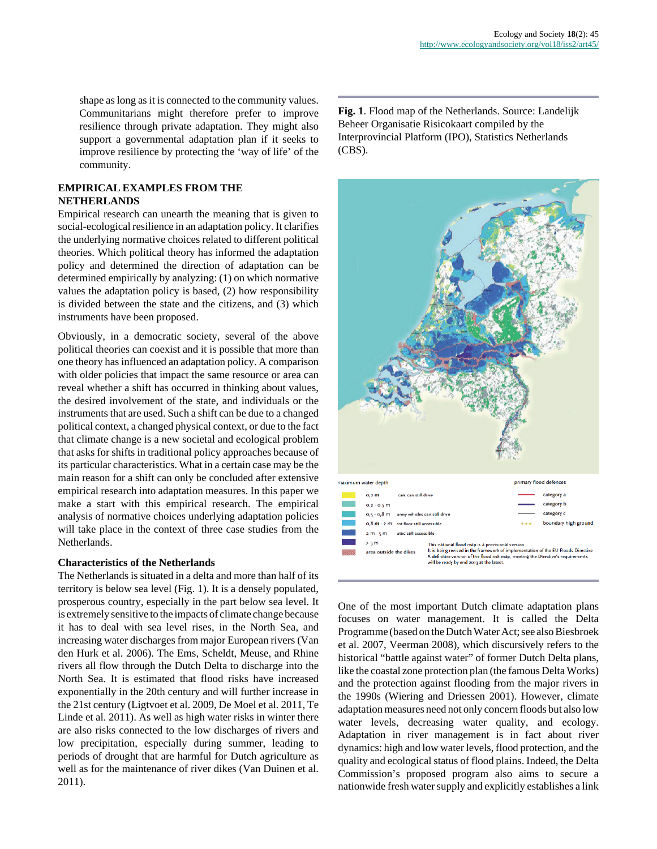shape as long as it is connected to the community values. Communitarians might therefore prefer to improve resilience through private adaptation. They might also support a governmental adaptation plan if it seeks to improve resilience by protecting the 'way of life' of the community.

# **EMPIRICAL EXAMPLES FROM THE NETHERLANDS**

Empirical research can unearth the meaning that is given to social-ecological resilience in an adaptation policy. It clarifies the underlying normative choices related to different political theories. Which political theory has informed the adaptation policy and determined the direction of adaptation can be determined empirically by analyzing: (1) on which normative values the adaptation policy is based, (2) how responsibility is divided between the state and the citizens, and (3) which instruments have been proposed.

Obviously, in a democratic society, several of the above political theories can coexist and it is possible that more than one theory has influenced an adaptation policy. A comparison with older policies that impact the same resource or area can reveal whether a shift has occurred in thinking about values, the desired involvement of the state, and individuals or the instruments that are used. Such a shift can be due to a changed political context, a changed physical context, or due to the fact that climate change is a new societal and ecological problem that asks for shifts in traditional policy approaches because of its particular characteristics. What in a certain case may be the main reason for a shift can only be concluded after extensive empirical research into adaptation measures. In this paper we make a start with this empirical research. The empirical analysis of normative choices underlying adaptation policies will take place in the context of three case studies from the Netherlands.

# **Characteristics of the Netherlands**

The Netherlands is situated in a delta and more than half of its territory is below sea level (Fig. 1). It is a densely populated, prosperous country, especially in the part below sea level. It is extremely sensitive to the impacts of climate change because it has to deal with sea level rises, in the North Sea, and increasing water discharges from major European rivers (Van den Hurk et al. 2006). The Ems, Scheldt, Meuse, and Rhine rivers all flow through the Dutch Delta to discharge into the North Sea. It is estimated that flood risks have increased exponentially in the 20th century and will further increase in the 21st century (Ligtvoet et al. 2009, De Moel et al. 2011, Te Linde et al. 2011). As well as high water risks in winter there are also risks connected to the low discharges of rivers and low precipitation, especially during summer, leading to periods of drought that are harmful for Dutch agriculture as well as for the maintenance of river dikes (Van Duinen et al. 2011).

**Fig. 1**. Flood map of the Netherlands. Source: Landelijk Beheer Organisatie Risicokaart compiled by the Interprovincial Platform (IPO), Statistics Netherlands (CBS).



One of the most important Dutch climate adaptation plans focuses on water management. It is called the Delta Programme (based on the Dutch Water Act; see also Biesbroek et al. 2007, Veerman 2008), which discursively refers to the historical "battle against water" of former Dutch Delta plans, like the coastal zone protection plan (the famous Delta Works) and the protection against flooding from the major rivers in the 1990s (Wiering and Driessen 2001). However, climate adaptation measures need not only concern floods but also low water levels, decreasing water quality, and ecology. Adaptation in river management is in fact about river dynamics: high and low water levels, flood protection, and the quality and ecological status of flood plains. Indeed, the Delta Commission's proposed program also aims to secure a nationwide fresh water supply and explicitly establishes a link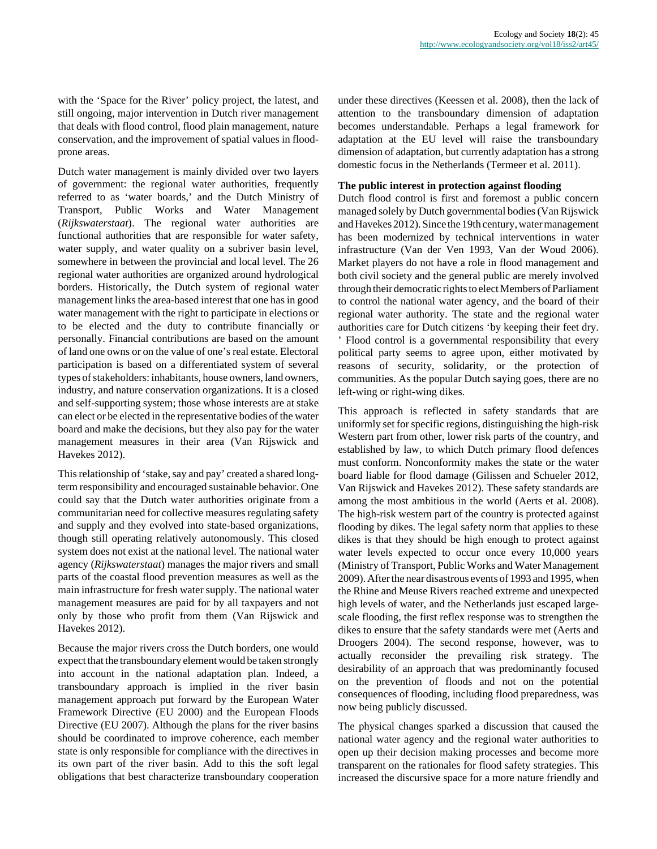with the 'Space for the River' policy project, the latest, and still ongoing, major intervention in Dutch river management that deals with flood control, flood plain management, nature conservation, and the improvement of spatial values in floodprone areas.

Dutch water management is mainly divided over two layers of government: the regional water authorities, frequently referred to as 'water boards,' and the Dutch Ministry of Transport, Public Works and Water Management (*Rijkswaterstaat*). The regional water authorities are functional authorities that are responsible for water safety, water supply, and water quality on a subriver basin level, somewhere in between the provincial and local level. The 26 regional water authorities are organized around hydrological borders. Historically, the Dutch system of regional water management links the area-based interest that one has in good water management with the right to participate in elections or to be elected and the duty to contribute financially or personally. Financial contributions are based on the amount of land one owns or on the value of one's real estate. Electoral participation is based on a differentiated system of several types of stakeholders: inhabitants, house owners, land owners, industry, and nature conservation organizations. It is a closed and self-supporting system; those whose interests are at stake can elect or be elected in the representative bodies of the water board and make the decisions, but they also pay for the water management measures in their area (Van Rijswick and Havekes 2012).

This relationship of 'stake, say and pay' created a shared longterm responsibility and encouraged sustainable behavior. One could say that the Dutch water authorities originate from a communitarian need for collective measures regulating safety and supply and they evolved into state-based organizations, though still operating relatively autonomously. This closed system does not exist at the national level. The national water agency (*Rijkswaterstaat*) manages the major rivers and small parts of the coastal flood prevention measures as well as the main infrastructure for fresh water supply. The national water management measures are paid for by all taxpayers and not only by those who profit from them (Van Rijswick and Havekes 2012).

Because the major rivers cross the Dutch borders, one would expect that the transboundary element would be taken strongly into account in the national adaptation plan. Indeed, a transboundary approach is implied in the river basin management approach put forward by the European Water Framework Directive (EU 2000) and the European Floods Directive (EU 2007). Although the plans for the river basins should be coordinated to improve coherence, each member state is only responsible for compliance with the directives in its own part of the river basin. Add to this the soft legal obligations that best characterize transboundary cooperation under these directives (Keessen et al. 2008), then the lack of attention to the transboundary dimension of adaptation becomes understandable. Perhaps a legal framework for adaptation at the EU level will raise the transboundary dimension of adaptation, but currently adaptation has a strong domestic focus in the Netherlands (Termeer et al. 2011).

#### **The public interest in protection against flooding**

Dutch flood control is first and foremost a public concern managed solely by Dutch governmental bodies (Van Rijswick and Havekes 2012). Since the 19th century, water management has been modernized by technical interventions in water infrastructure (Van der Ven 1993, Van der Woud 2006). Market players do not have a role in flood management and both civil society and the general public are merely involved through their democratic rights to elect Members of Parliament to control the national water agency, and the board of their regional water authority. The state and the regional water authorities care for Dutch citizens 'by keeping their feet dry. ' Flood control is a governmental responsibility that every political party seems to agree upon, either motivated by reasons of security, solidarity, or the protection of communities. As the popular Dutch saying goes, there are no left-wing or right-wing dikes.

This approach is reflected in safety standards that are uniformly set for specific regions, distinguishing the high-risk Western part from other, lower risk parts of the country, and established by law, to which Dutch primary flood defences must conform. Nonconformity makes the state or the water board liable for flood damage (Gilissen and Schueler 2012, Van Rijswick and Havekes 2012). These safety standards are among the most ambitious in the world (Aerts et al. 2008). The high-risk western part of the country is protected against flooding by dikes. The legal safety norm that applies to these dikes is that they should be high enough to protect against water levels expected to occur once every 10,000 years (Ministry of Transport, Public Works and Water Management 2009). After the near disastrous events of 1993 and 1995, when the Rhine and Meuse Rivers reached extreme and unexpected high levels of water, and the Netherlands just escaped largescale flooding, the first reflex response was to strengthen the dikes to ensure that the safety standards were met (Aerts and Droogers 2004). The second response, however, was to actually reconsider the prevailing risk strategy. The desirability of an approach that was predominantly focused on the prevention of floods and not on the potential consequences of flooding, including flood preparedness, was now being publicly discussed.

The physical changes sparked a discussion that caused the national water agency and the regional water authorities to open up their decision making processes and become more transparent on the rationales for flood safety strategies. This increased the discursive space for a more nature friendly and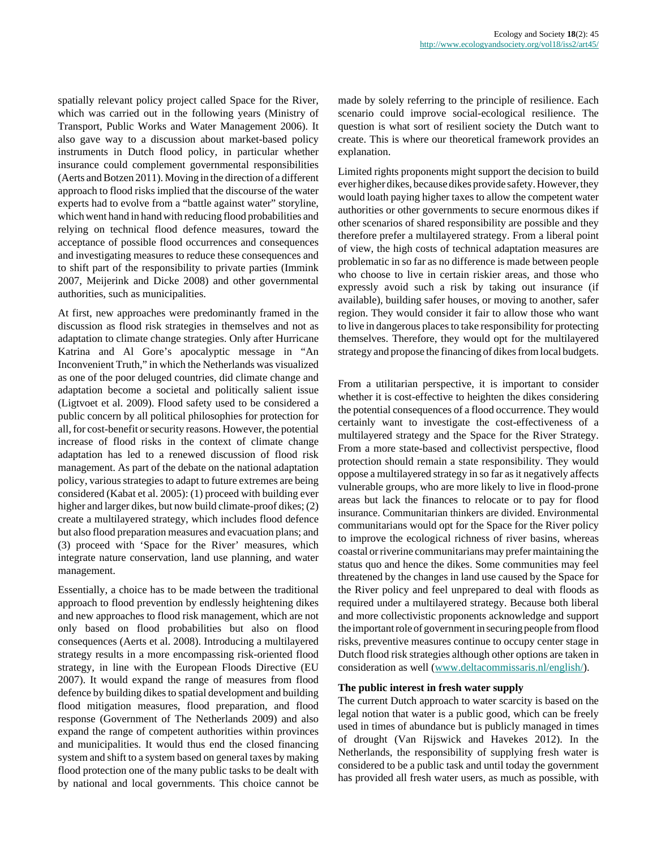spatially relevant policy project called Space for the River, which was carried out in the following years (Ministry of Transport, Public Works and Water Management 2006). It also gave way to a discussion about market-based policy instruments in Dutch flood policy, in particular whether insurance could complement governmental responsibilities (Aerts and Botzen 2011). Moving in the direction of a different approach to flood risks implied that the discourse of the water experts had to evolve from a "battle against water" storyline, which went hand in hand with reducing flood probabilities and relying on technical flood defence measures, toward the acceptance of possible flood occurrences and consequences and investigating measures to reduce these consequences and to shift part of the responsibility to private parties (Immink 2007, Meijerink and Dicke 2008) and other governmental authorities, such as municipalities.

At first, new approaches were predominantly framed in the discussion as flood risk strategies in themselves and not as adaptation to climate change strategies. Only after Hurricane Katrina and Al Gore's apocalyptic message in "An Inconvenient Truth," in which the Netherlands was visualized as one of the poor deluged countries, did climate change and adaptation become a societal and politically salient issue (Ligtvoet et al. 2009). Flood safety used to be considered a public concern by all political philosophies for protection for all, for cost-benefit or security reasons. However, the potential increase of flood risks in the context of climate change adaptation has led to a renewed discussion of flood risk management. As part of the debate on the national adaptation policy, various strategies to adapt to future extremes are being considered (Kabat et al. 2005): (1) proceed with building ever higher and larger dikes, but now build climate-proof dikes; (2) create a multilayered strategy, which includes flood defence but also flood preparation measures and evacuation plans; and (3) proceed with 'Space for the River' measures, which integrate nature conservation, land use planning, and water management.

Essentially, a choice has to be made between the traditional approach to flood prevention by endlessly heightening dikes and new approaches to flood risk management, which are not only based on flood probabilities but also on flood consequences (Aerts et al. 2008). Introducing a multilayered strategy results in a more encompassing risk-oriented flood strategy, in line with the European Floods Directive (EU 2007). It would expand the range of measures from flood defence by building dikes to spatial development and building flood mitigation measures, flood preparation, and flood response (Government of The Netherlands 2009) and also expand the range of competent authorities within provinces and municipalities. It would thus end the closed financing system and shift to a system based on general taxes by making flood protection one of the many public tasks to be dealt with by national and local governments. This choice cannot be made by solely referring to the principle of resilience. Each scenario could improve social-ecological resilience. The question is what sort of resilient society the Dutch want to create. This is where our theoretical framework provides an explanation.

Limited rights proponents might support the decision to build ever higher dikes, because dikes provide safety. However, they would loath paying higher taxes to allow the competent water authorities or other governments to secure enormous dikes if other scenarios of shared responsibility are possible and they therefore prefer a multilayered strategy. From a liberal point of view, the high costs of technical adaptation measures are problematic in so far as no difference is made between people who choose to live in certain riskier areas, and those who expressly avoid such a risk by taking out insurance (if available), building safer houses, or moving to another, safer region. They would consider it fair to allow those who want to live in dangerous places to take responsibility for protecting themselves. Therefore, they would opt for the multilayered strategy and propose the financing of dikes from local budgets.

From a utilitarian perspective, it is important to consider whether it is cost-effective to heighten the dikes considering the potential consequences of a flood occurrence. They would certainly want to investigate the cost-effectiveness of a multilayered strategy and the Space for the River Strategy. From a more state-based and collectivist perspective, flood protection should remain a state responsibility. They would oppose a multilayered strategy in so far as it negatively affects vulnerable groups, who are more likely to live in flood-prone areas but lack the finances to relocate or to pay for flood insurance. Communitarian thinkers are divided. Environmental communitarians would opt for the Space for the River policy to improve the ecological richness of river basins, whereas coastal or riverine communitarians may prefer maintaining the status quo and hence the dikes. Some communities may feel threatened by the changes in land use caused by the Space for the River policy and feel unprepared to deal with floods as required under a multilayered strategy. Because both liberal and more collectivistic proponents acknowledge and support the important role of government in securing people from flood risks, preventive measures continue to occupy center stage in Dutch flood risk strategies although other options are taken in consideration as well [\(www.deltacommissaris.nl/english/\)](http://www.deltacommissaris.nl/english/).

# **The public interest in fresh water supply**

The current Dutch approach to water scarcity is based on the legal notion that water is a public good, which can be freely used in times of abundance but is publicly managed in times of drought (Van Rijswick and Havekes 2012). In the Netherlands, the responsibility of supplying fresh water is considered to be a public task and until today the government has provided all fresh water users, as much as possible, with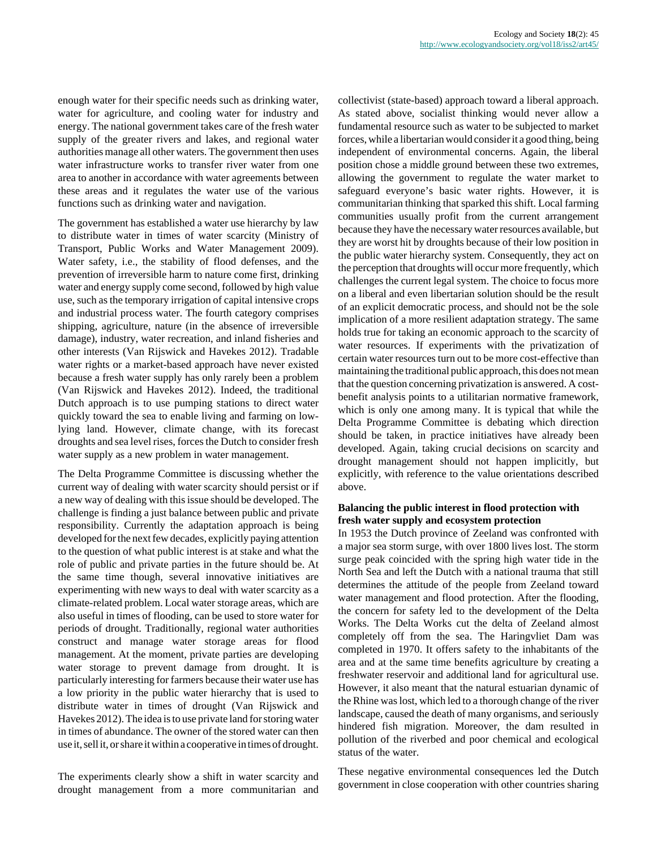enough water for their specific needs such as drinking water, water for agriculture, and cooling water for industry and energy. The national government takes care of the fresh water supply of the greater rivers and lakes, and regional water authorities manage all other waters. The government then uses water infrastructure works to transfer river water from one area to another in accordance with water agreements between these areas and it regulates the water use of the various functions such as drinking water and navigation.

The government has established a water use hierarchy by law to distribute water in times of water scarcity (Ministry of Transport, Public Works and Water Management 2009). Water safety, i.e., the stability of flood defenses, and the prevention of irreversible harm to nature come first, drinking water and energy supply come second, followed by high value use, such as the temporary irrigation of capital intensive crops and industrial process water. The fourth category comprises shipping, agriculture, nature (in the absence of irreversible damage), industry, water recreation, and inland fisheries and other interests (Van Rijswick and Havekes 2012). Tradable water rights or a market-based approach have never existed because a fresh water supply has only rarely been a problem (Van Rijswick and Havekes 2012). Indeed, the traditional Dutch approach is to use pumping stations to direct water quickly toward the sea to enable living and farming on lowlying land. However, climate change, with its forecast droughts and sea level rises, forces the Dutch to consider fresh water supply as a new problem in water management.

The Delta Programme Committee is discussing whether the current way of dealing with water scarcity should persist or if a new way of dealing with this issue should be developed. The challenge is finding a just balance between public and private responsibility. Currently the adaptation approach is being developed for the next few decades, explicitly paying attention to the question of what public interest is at stake and what the role of public and private parties in the future should be. At the same time though, several innovative initiatives are experimenting with new ways to deal with water scarcity as a climate-related problem. Local water storage areas, which are also useful in times of flooding, can be used to store water for periods of drought. Traditionally, regional water authorities construct and manage water storage areas for flood management. At the moment, private parties are developing water storage to prevent damage from drought. It is particularly interesting for farmers because their water use has a low priority in the public water hierarchy that is used to distribute water in times of drought (Van Rijswick and Havekes 2012). The idea is to use private land for storing water in times of abundance. The owner of the stored water can then use it, sell it, or share it within a cooperative in times of drought.

The experiments clearly show a shift in water scarcity and drought management from a more communitarian and collectivist (state-based) approach toward a liberal approach. As stated above, socialist thinking would never allow a fundamental resource such as water to be subjected to market forces, while a libertarian would consider it a good thing, being independent of environmental concerns. Again, the liberal position chose a middle ground between these two extremes, allowing the government to regulate the water market to safeguard everyone's basic water rights. However, it is communitarian thinking that sparked this shift. Local farming communities usually profit from the current arrangement because they have the necessary water resources available, but they are worst hit by droughts because of their low position in the public water hierarchy system. Consequently, they act on the perception that droughts will occur more frequently, which challenges the current legal system. The choice to focus more on a liberal and even libertarian solution should be the result of an explicit democratic process, and should not be the sole implication of a more resilient adaptation strategy. The same holds true for taking an economic approach to the scarcity of water resources. If experiments with the privatization of certain water resources turn out to be more cost-effective than maintaining the traditional public approach, this does not mean that the question concerning privatization is answered. A costbenefit analysis points to a utilitarian normative framework, which is only one among many. It is typical that while the Delta Programme Committee is debating which direction should be taken, in practice initiatives have already been developed. Again, taking crucial decisions on scarcity and drought management should not happen implicitly, but explicitly, with reference to the value orientations described above.

# **Balancing the public interest in flood protection with fresh water supply and ecosystem protection**

In 1953 the Dutch province of Zeeland was confronted with a major sea storm surge, with over 1800 lives lost. The storm surge peak coincided with the spring high water tide in the North Sea and left the Dutch with a national trauma that still determines the attitude of the people from Zeeland toward water management and flood protection. After the flooding, the concern for safety led to the development of the Delta Works. The Delta Works cut the delta of Zeeland almost completely off from the sea. The Haringvliet Dam was completed in 1970. It offers safety to the inhabitants of the area and at the same time benefits agriculture by creating a freshwater reservoir and additional land for agricultural use. However, it also meant that the natural estuarian dynamic of the Rhine was lost, which led to a thorough change of the river landscape, caused the death of many organisms, and seriously hindered fish migration. Moreover, the dam resulted in pollution of the riverbed and poor chemical and ecological status of the water.

These negative environmental consequences led the Dutch government in close cooperation with other countries sharing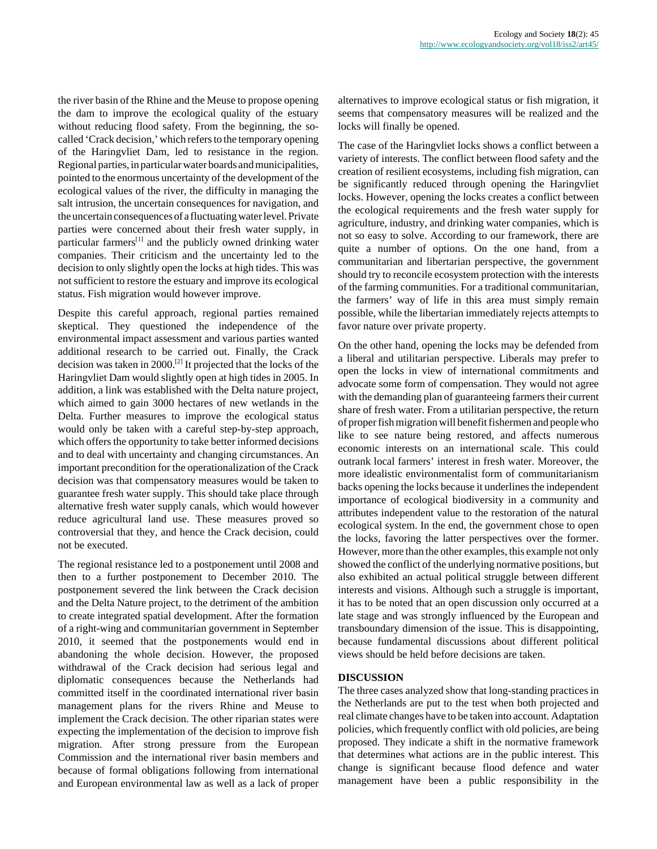the river basin of the Rhine and the Meuse to propose opening the dam to improve the ecological quality of the estuary without reducing flood safety. From the beginning, the socalled 'Crack decision,' which refers to the temporary opening of the Haringvliet Dam, led to resistance in the region. Regional parties, in particular water boards and municipalities, pointed to the enormous uncertainty of the development of the ecological values of the river, the difficulty in managing the salt intrusion, the uncertain consequences for navigation, and the uncertain consequences of a fluctuating water level. Private parties were concerned about their fresh water supply, in particular farmers<sup>[1]</sup> and the publicly owned drinking water companies. Their criticism and the uncertainty led to the decision to only slightly open the locks at high tides. This was not sufficient to restore the estuary and improve its ecological status. Fish migration would however improve.

Despite this careful approach, regional parties remained skeptical. They questioned the independence of the environmental impact assessment and various parties wanted additional research to be carried out. Finally, the Crack decision was taken in 2000.[2] It projected that the locks of the Haringvliet Dam would slightly open at high tides in 2005. In addition, a link was established with the Delta nature project, which aimed to gain 3000 hectares of new wetlands in the Delta. Further measures to improve the ecological status would only be taken with a careful step-by-step approach, which offers the opportunity to take better informed decisions and to deal with uncertainty and changing circumstances. An important precondition for the operationalization of the Crack decision was that compensatory measures would be taken to guarantee fresh water supply. This should take place through alternative fresh water supply canals, which would however reduce agricultural land use. These measures proved so controversial that they, and hence the Crack decision, could not be executed.

The regional resistance led to a postponement until 2008 and then to a further postponement to December 2010. The postponement severed the link between the Crack decision and the Delta Nature project, to the detriment of the ambition to create integrated spatial development. After the formation of a right-wing and communitarian government in September 2010, it seemed that the postponements would end in abandoning the whole decision. However, the proposed withdrawal of the Crack decision had serious legal and diplomatic consequences because the Netherlands had committed itself in the coordinated international river basin management plans for the rivers Rhine and Meuse to implement the Crack decision. The other riparian states were expecting the implementation of the decision to improve fish migration. After strong pressure from the European Commission and the international river basin members and because of formal obligations following from international and European environmental law as well as a lack of proper alternatives to improve ecological status or fish migration, it seems that compensatory measures will be realized and the locks will finally be opened.

The case of the Haringvliet locks shows a conflict between a variety of interests. The conflict between flood safety and the creation of resilient ecosystems, including fish migration, can be significantly reduced through opening the Haringvliet locks. However, opening the locks creates a conflict between the ecological requirements and the fresh water supply for agriculture, industry, and drinking water companies, which is not so easy to solve. According to our framework, there are quite a number of options. On the one hand, from a communitarian and libertarian perspective, the government should try to reconcile ecosystem protection with the interests of the farming communities. For a traditional communitarian, the farmers' way of life in this area must simply remain possible, while the libertarian immediately rejects attempts to favor nature over private property.

On the other hand, opening the locks may be defended from a liberal and utilitarian perspective. Liberals may prefer to open the locks in view of international commitments and advocate some form of compensation. They would not agree with the demanding plan of guaranteeing farmers their current share of fresh water. From a utilitarian perspective, the return of proper fish migration will benefit fishermen and people who like to see nature being restored, and affects numerous economic interests on an international scale. This could outrank local farmers' interest in fresh water. Moreover, the more idealistic environmentalist form of communitarianism backs opening the locks because it underlines the independent importance of ecological biodiversity in a community and attributes independent value to the restoration of the natural ecological system. In the end, the government chose to open the locks, favoring the latter perspectives over the former. However, more than the other examples, this example not only showed the conflict of the underlying normative positions, but also exhibited an actual political struggle between different interests and visions. Although such a struggle is important, it has to be noted that an open discussion only occurred at a late stage and was strongly influenced by the European and transboundary dimension of the issue. This is disappointing, because fundamental discussions about different political views should be held before decisions are taken.

# **DISCUSSION**

The three cases analyzed show that long-standing practices in the Netherlands are put to the test when both projected and real climate changes have to be taken into account. Adaptation policies, which frequently conflict with old policies, are being proposed. They indicate a shift in the normative framework that determines what actions are in the public interest. This change is significant because flood defence and water management have been a public responsibility in the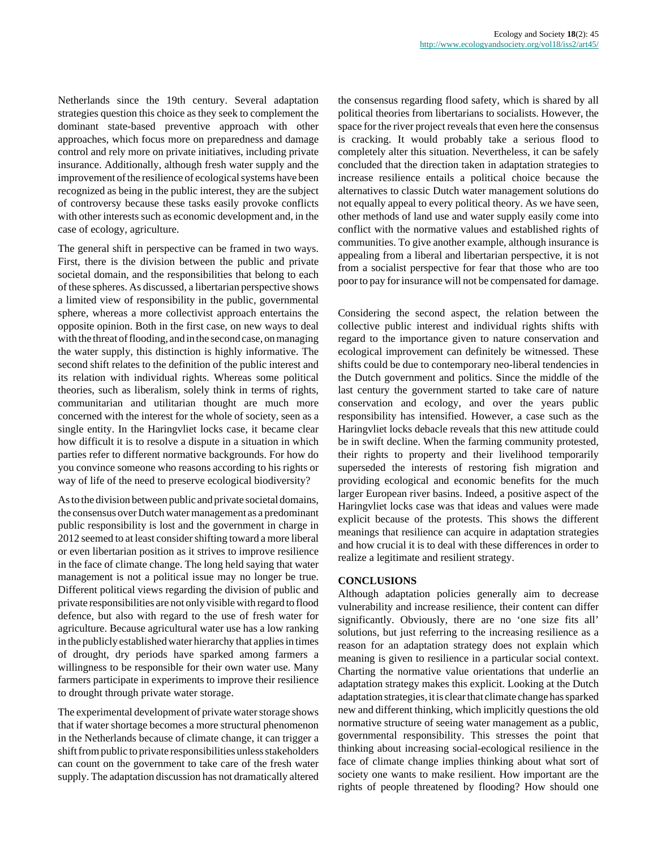Netherlands since the 19th century. Several adaptation strategies question this choice as they seek to complement the dominant state-based preventive approach with other approaches, which focus more on preparedness and damage control and rely more on private initiatives, including private insurance. Additionally, although fresh water supply and the improvement of the resilience of ecological systems have been recognized as being in the public interest, they are the subject of controversy because these tasks easily provoke conflicts with other interests such as economic development and, in the case of ecology, agriculture.

The general shift in perspective can be framed in two ways. First, there is the division between the public and private societal domain, and the responsibilities that belong to each of these spheres. As discussed, a libertarian perspective shows a limited view of responsibility in the public, governmental sphere, whereas a more collectivist approach entertains the opposite opinion. Both in the first case, on new ways to deal with the threat of flooding, and in the second case, on managing the water supply, this distinction is highly informative. The second shift relates to the definition of the public interest and its relation with individual rights. Whereas some political theories, such as liberalism, solely think in terms of rights, communitarian and utilitarian thought are much more concerned with the interest for the whole of society, seen as a single entity. In the Haringvliet locks case, it became clear how difficult it is to resolve a dispute in a situation in which parties refer to different normative backgrounds. For how do you convince someone who reasons according to his rights or way of life of the need to preserve ecological biodiversity?

As to the division between public and private societal domains, the consensus over Dutch water management as a predominant public responsibility is lost and the government in charge in 2012 seemed to at least consider shifting toward a more liberal or even libertarian position as it strives to improve resilience in the face of climate change. The long held saying that water management is not a political issue may no longer be true. Different political views regarding the division of public and private responsibilities are not only visible with regard to flood defence, but also with regard to the use of fresh water for agriculture. Because agricultural water use has a low ranking in the publicly established water hierarchy that applies in times of drought, dry periods have sparked among farmers a willingness to be responsible for their own water use. Many farmers participate in experiments to improve their resilience to drought through private water storage.

The experimental development of private water storage shows that if water shortage becomes a more structural phenomenon in the Netherlands because of climate change, it can trigger a shift from public to private responsibilities unless stakeholders can count on the government to take care of the fresh water supply. The adaptation discussion has not dramatically altered the consensus regarding flood safety, which is shared by all political theories from libertarians to socialists. However, the space for the river project reveals that even here the consensus is cracking. It would probably take a serious flood to completely alter this situation. Nevertheless, it can be safely concluded that the direction taken in adaptation strategies to increase resilience entails a political choice because the alternatives to classic Dutch water management solutions do not equally appeal to every political theory. As we have seen, other methods of land use and water supply easily come into conflict with the normative values and established rights of communities. To give another example, although insurance is appealing from a liberal and libertarian perspective, it is not from a socialist perspective for fear that those who are too poor to pay for insurance will not be compensated for damage.

Considering the second aspect, the relation between the collective public interest and individual rights shifts with regard to the importance given to nature conservation and ecological improvement can definitely be witnessed. These shifts could be due to contemporary neo-liberal tendencies in the Dutch government and politics. Since the middle of the last century the government started to take care of nature conservation and ecology, and over the years public responsibility has intensified. However, a case such as the Haringvliet locks debacle reveals that this new attitude could be in swift decline. When the farming community protested, their rights to property and their livelihood temporarily superseded the interests of restoring fish migration and providing ecological and economic benefits for the much larger European river basins. Indeed, a positive aspect of the Haringvliet locks case was that ideas and values were made explicit because of the protests. This shows the different meanings that resilience can acquire in adaptation strategies and how crucial it is to deal with these differences in order to realize a legitimate and resilient strategy.

# **CONCLUSIONS**

Although adaptation policies generally aim to decrease vulnerability and increase resilience, their content can differ significantly. Obviously, there are no 'one size fits all' solutions, but just referring to the increasing resilience as a reason for an adaptation strategy does not explain which meaning is given to resilience in a particular social context. Charting the normative value orientations that underlie an adaptation strategy makes this explicit. Looking at the Dutch adaptation strategies, it is clear that climate change has sparked new and different thinking, which implicitly questions the old normative structure of seeing water management as a public, governmental responsibility. This stresses the point that thinking about increasing social-ecological resilience in the face of climate change implies thinking about what sort of society one wants to make resilient. How important are the rights of people threatened by flooding? How should one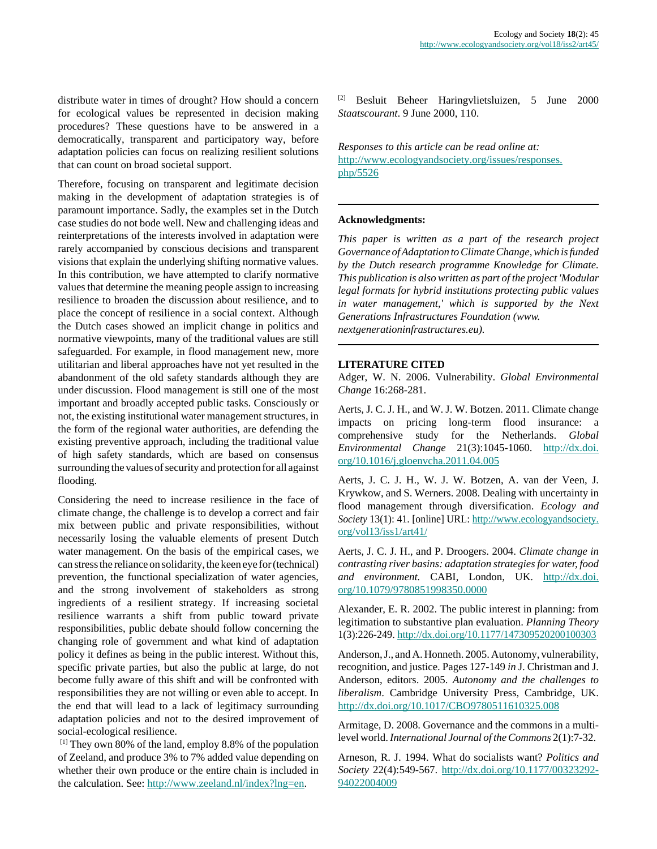distribute water in times of drought? How should a concern for ecological values be represented in decision making procedures? These questions have to be answered in a democratically, transparent and participatory way, before adaptation policies can focus on realizing resilient solutions that can count on broad societal support.

Therefore, focusing on transparent and legitimate decision making in the development of adaptation strategies is of paramount importance. Sadly, the examples set in the Dutch case studies do not bode well. New and challenging ideas and reinterpretations of the interests involved in adaptation were rarely accompanied by conscious decisions and transparent visions that explain the underlying shifting normative values. In this contribution, we have attempted to clarify normative values that determine the meaning people assign to increasing resilience to broaden the discussion about resilience, and to place the concept of resilience in a social context. Although the Dutch cases showed an implicit change in politics and normative viewpoints, many of the traditional values are still safeguarded. For example, in flood management new, more utilitarian and liberal approaches have not yet resulted in the abandonment of the old safety standards although they are under discussion. Flood management is still one of the most important and broadly accepted public tasks. Consciously or not, the existing institutional water management structures, in the form of the regional water authorities, are defending the existing preventive approach, including the traditional value of high safety standards, which are based on consensus surrounding the values of security and protection for all against flooding.

Considering the need to increase resilience in the face of climate change, the challenge is to develop a correct and fair mix between public and private responsibilities, without necessarily losing the valuable elements of present Dutch water management. On the basis of the empirical cases, we can stress the reliance on solidarity, the keen eye for (technical) prevention, the functional specialization of water agencies, and the strong involvement of stakeholders as strong ingredients of a resilient strategy. If increasing societal resilience warrants a shift from public toward private responsibilities, public debate should follow concerning the changing role of government and what kind of adaptation policy it defines as being in the public interest. Without this, specific private parties, but also the public at large, do not become fully aware of this shift and will be confronted with responsibilities they are not willing or even able to accept. In the end that will lead to a lack of legitimacy surrounding adaptation policies and not to the desired improvement of social-ecological resilience.

[1] They own 80% of the land, employ 8.8% of the population of Zeeland, and produce 3% to 7% added value depending on whether their own produce or the entire chain is included in the calculation. See: [http://www.zeeland.nl/index?lng=en.](http://www.zeeland.nl/index?lng=en)

[2] Besluit Beheer Haringvlietsluizen, 5 June 2000 *Staatscourant*. 9 June 2000, 110.

*Responses to this article can be read online at:* [http://www.ecologyandsociety.org/issues/responses.](http://www.ecologyandsociety.org/issues/responses.php/5526) [php/5526](http://www.ecologyandsociety.org/issues/responses.php/5526)

# **Acknowledgments:**

*This paper is written as a part of the research project Governance of Adaptation to Climate Change, which is funded by the Dutch research programme Knowledge for Climate. This publication is also written as part of the project 'Modular legal formats for hybrid institutions protecting public values in water management,' which is supported by the Next Generations Infrastructures Foundation (www. nextgenerationinfrastructures.eu).*

# **LITERATURE CITED**

Adger, W. N. 2006. Vulnerability. *Global Environmental Change* 16:268-281.

Aerts, J. C. J. H., and W. J. W. Botzen. 2011. Climate change impacts on pricing long-term flood insurance: a comprehensive study for the Netherlands. *Global Environmental Change* 21(3):1045-1060. [http://dx.doi.](http://dx.doi.org/10.1016/j.gloenvcha.2011.04.005) [org/10.1016/j.gloenvcha.2011.04.005](http://dx.doi.org/10.1016/j.gloenvcha.2011.04.005)

Aerts, J. C. J. H., W. J. W. Botzen, A. van der Veen, J. Krywkow, and S. Werners. 2008. Dealing with uncertainty in flood management through diversification. *Ecology and Society* 13(1): 41. [online] URL: [http://www.ecologyandsociety.](http://www.ecologyandsociety.org/vol13/iss1/art41/) [org/vol13/iss1/art41/](http://www.ecologyandsociety.org/vol13/iss1/art41/)

Aerts, J. C. J. H., and P. Droogers. 2004. *Climate change in contrasting river basins: adaptation strategies for water, food and environment.* CABI, London, UK. [http://dx.doi.](http://dx.doi.org/10.1079/9780851998350.0000) [org/10.1079/9780851998350.0000](http://dx.doi.org/10.1079/9780851998350.0000)

Alexander, E. R. 2002. The public interest in planning: from legitimation to substantive plan evaluation. *Planning Theory* 1(3):226-249.<http://dx.doi.org/10.1177/147309520200100303>

Anderson, J., and A. Honneth. 2005. Autonomy, vulnerability, recognition, and justice. Pages 127-149 *in* J. Christman and J. Anderson, editors. 2005. *Autonomy and the challenges to liberalism*. Cambridge University Press, Cambridge, UK. <http://dx.doi.org/10.1017/CBO9780511610325.008>

Armitage, D. 2008. Governance and the commons in a multilevel world. *International Journal of the Commons* 2(1):7-32.

Arneson, R. J. 1994. What do socialists want? *Politics and Society* 22(4):549-567. [http://dx.doi.org/10.1177/00323292-](http://dx.doi.org/10.1177/0032329294022004009) [94022004009](http://dx.doi.org/10.1177/0032329294022004009)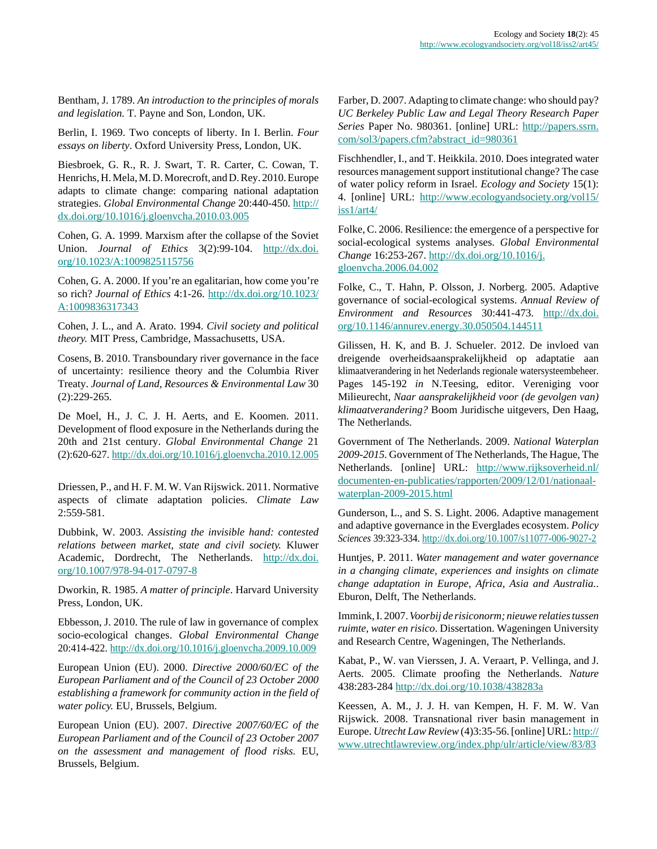Bentham, J. 1789. *An introduction to the principles of morals and legislation.* T. Payne and Son, London, UK.

Berlin, I. 1969. Two concepts of liberty. In I. Berlin. *Four essays on liberty*. Oxford University Press, London, UK.

Biesbroek, G. R., R. J. Swart, T. R. Carter, C. Cowan, T. Henrichs, H. Mela, M. D. Morecroft, and D. Rey. 2010. Europe adapts to climate change: comparing national adaptation strategies. *Global Environmental Change* 20:440-450. [http://](http://dx.doi.org/10.1016/j.gloenvcha.2010.03.005) [dx.doi.org/10.1016/j.gloenvcha.2010.03.005](http://dx.doi.org/10.1016/j.gloenvcha.2010.03.005)

Cohen, G. A. 1999. Marxism after the collapse of the Soviet Union. *Journal of Ethics* 3(2):99-104. [http://dx.doi.](http://dx.doi.org/10.1023/A:1009825115756) [org/10.1023/A:1009825115756](http://dx.doi.org/10.1023/A:1009825115756)

Cohen, G. A. 2000. If you're an egalitarian, how come you're so rich? *Journal of Ethics* 4:1-26. [http://dx.doi.org/10.1023/](http://dx.doi.org/10.1023/A:1009836317343) [A:1009836317343](http://dx.doi.org/10.1023/A:1009836317343)

Cohen, J. L., and A. Arato. 1994. *Civil society and political theory.* MIT Press, Cambridge, Massachusetts, USA.

Cosens, B. 2010. Transboundary river governance in the face of uncertainty: resilience theory and the Columbia River Treaty. *Journal of Land, Resources & Environmental Law* 30 (2):229-265.

De Moel, H., J. C. J. H. Aerts, and E. Koomen. 2011. Development of flood exposure in the Netherlands during the 20th and 21st century. *Global Environmental Change* 21 (2):620-627.<http://dx.doi.org/10.1016/j.gloenvcha.2010.12.005>

Driessen, P., and H. F. M. W. Van Rijswick. 2011. Normative aspects of climate adaptation policies. *Climate Law* 2:559-581.

Dubbink, W. 2003. *Assisting the invisible hand: contested relations between market, state and civil society.* Kluwer Academic, Dordrecht, The Netherlands. [http://dx.doi.](http://dx.doi.org/10.1007/978-94-017-0797-8) [org/10.1007/978-94-017-0797-8](http://dx.doi.org/10.1007/978-94-017-0797-8)

Dworkin, R. 1985. *A matter of principle*. Harvard University Press, London, UK.

Ebbesson, J. 2010. The rule of law in governance of complex socio-ecological changes. *Global Environmental Change* 20:414-422. <http://dx.doi.org/10.1016/j.gloenvcha.2009.10.009>

European Union (EU). 2000. *Directive 2000/60/EC of the European Parliament and of the Council of 23 October 2000 establishing a framework for community action in the field of water policy.* EU, Brussels, Belgium.

European Union (EU). 2007. *Directive 2007/60/EC of the European Parliament and of the Council of 23 October 2007 on the assessment and management of flood risks.* EU, Brussels, Belgium.

Farber, D. 2007. Adapting to climate change: who should pay? *UC Berkeley Public Law and Legal Theory Research Paper Series* Paper No. 980361. [online] URL: [http://papers.ssrn.](http://papers.ssrn.com/sol3/papers.cfm?abstract_id=980361) [com/sol3/papers.cfm?abstract\\_id=980361](http://papers.ssrn.com/sol3/papers.cfm?abstract_id=980361)

Fischhendler, I., and T. Heikkila. 2010. Does integrated water resources management support institutional change? The case of water policy reform in Israel. *Ecology and Society* 15(1): 4. [online] URL: [http://www.ecologyandsociety.org/vol15/](http://www.ecologyandsociety.org/vol15/iss1/art4/) [iss1/art4/](http://www.ecologyandsociety.org/vol15/iss1/art4/)

Folke, C. 2006. Resilience: the emergence of a perspective for social-ecological systems analyses. *Global Environmental Change* 16:253-267. [http://dx.doi.org/10.1016/j.](http://dx.doi.org/10.1016/j.gloenvcha.2006.04.002) [gloenvcha.2006.04.002](http://dx.doi.org/10.1016/j.gloenvcha.2006.04.002)

Folke, C., T. Hahn, P. Olsson, J. Norberg. 2005. Adaptive governance of social-ecological systems. *Annual Review of Environment and Resources* 30:441-473. [http://dx.doi.](http://dx.doi.org/10.1146/annurev.energy.30.050504.144511) [org/10.1146/annurev.energy.30.050504.144511](http://dx.doi.org/10.1146/annurev.energy.30.050504.144511)

Gilissen, H. K, and B. J. Schueler. 2012. De invloed van dreigende overheidsaansprakelijkheid op adaptatie aan klimaatverandering in het Nederlands regionale watersysteembeheer. Pages 145-192 *in* N.Teesing, editor. Vereniging voor Milieurecht, *Naar aansprakelijkheid voor (de gevolgen van) klimaatverandering?* Boom Juridische uitgevers, Den Haag, The Netherlands.

Government of The Netherlands. 2009. *National Waterplan 2009-2015.* Government of The Netherlands, The Hague, The Netherlands. [online] URL: [http://www.rijksoverheid.nl/](http://www.rijksoverheid.nl/documenten-en-publicaties/rapporten/2009/12/01/nationaal-waterplan-2009-2015.html) [documenten-en-publicaties/rapporten/2009/12/01/nationaal](http://www.rijksoverheid.nl/documenten-en-publicaties/rapporten/2009/12/01/nationaal-waterplan-2009-2015.html)[waterplan-2009-2015.html](http://www.rijksoverheid.nl/documenten-en-publicaties/rapporten/2009/12/01/nationaal-waterplan-2009-2015.html)

Gunderson, L., and S. S. Light. 2006. Adaptive management and adaptive governance in the Everglades ecosystem. *Policy Sciences* 39:323-334. <http://dx.doi.org/10.1007/s11077-006-9027-2>

Huntjes, P. 2011. *Water management and water governance in a changing climate, experiences and insights on climate change adaptation in Europe, Africa, Asia and Australia.*. Eburon, Delft, The Netherlands.

Immink, I. 2007. *Voorbij de risiconorm; nieuwe relaties tussen ruimte, water en risico*. Dissertation. Wageningen University and Research Centre, Wageningen, The Netherlands.

Kabat, P., W. van Vierssen, J. A. Veraart, P. Vellinga, and J. Aerts. 2005. Climate proofing the Netherlands. *Nature* 438:283-284 <http://dx.doi.org/10.1038/438283a>

Keessen, A. M., J. J. H. van Kempen, H. F. M. W. Van Rijswick. 2008. Transnational river basin management in Europe. *Utrecht Law Review* (4)3:35-56. [online] URL: [http://](http://www.utrechtlawreview.org/index.php/ulr/article/view/83/83) [www.utrechtlawreview.org/index.php/ulr/article/view/83/83](http://www.utrechtlawreview.org/index.php/ulr/article/view/83/83)